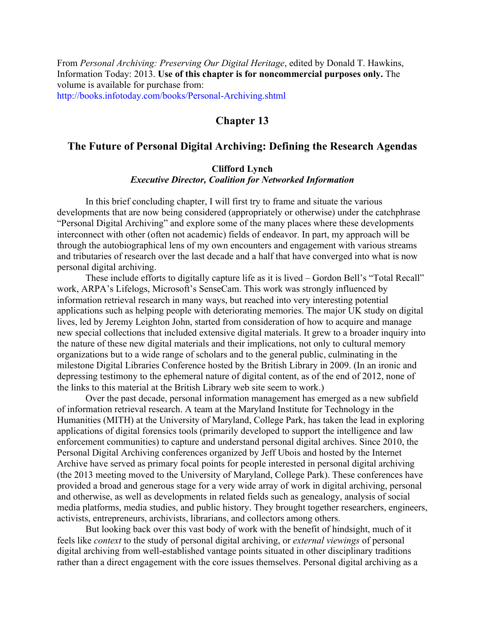From *Personal Archiving: Preserving Our Digital Heritage*, edited by Donald T. Hawkins, Information Today: 2013. **Use of this chapter is for noncommercial purposes only.** The volume is available for purchase from:

http://books.infotoday.com/books/Personal-Archiving.shtml

# **Chapter 13**

# **The Future of Personal Digital Archiving: Defining the Research Agendas**

## **Clifford Lynch** *Executive Director, Coalition for Networked Information*

In this brief concluding chapter, I will first try to frame and situate the various developments that are now being considered (appropriately or otherwise) under the catchphrase "Personal Digital Archiving" and explore some of the many places where these developments interconnect with other (often not academic) fields of endeavor. In part, my approach will be through the autobiographical lens of my own encounters and engagement with various streams and tributaries of research over the last decade and a half that have converged into what is now personal digital archiving.

These include efforts to digitally capture life as it is lived – Gordon Bell's "Total Recall" work, ARPA's Lifelogs, Microsoft's SenseCam. This work was strongly influenced by information retrieval research in many ways, but reached into very interesting potential applications such as helping people with deteriorating memories. The major UK study on digital lives, led by Jeremy Leighton John, started from consideration of how to acquire and manage new special collections that included extensive digital materials. It grew to a broader inquiry into the nature of these new digital materials and their implications, not only to cultural memory organizations but to a wide range of scholars and to the general public, culminating in the milestone Digital Libraries Conference hosted by the British Library in 2009. (In an ironic and depressing testimony to the ephemeral nature of digital content, as of the end of 2012, none of the links to this material at the British Library web site seem to work.)

Over the past decade, personal information management has emerged as a new subfield of information retrieval research. A team at the Maryland Institute for Technology in the Humanities (MITH) at the University of Maryland, College Park, has taken the lead in exploring applications of digital forensics tools (primarily developed to support the intelligence and law enforcement communities) to capture and understand personal digital archives. Since 2010, the Personal Digital Archiving conferences organized by Jeff Ubois and hosted by the Internet Archive have served as primary focal points for people interested in personal digital archiving (the 2013 meeting moved to the University of Maryland, College Park). These conferences have provided a broad and generous stage for a very wide array of work in digital archiving, personal and otherwise, as well as developments in related fields such as genealogy, analysis of social media platforms, media studies, and public history. They brought together researchers, engineers, activists, entrepreneurs, archivists, librarians, and collectors among others.

But looking back over this vast body of work with the benefit of hindsight, much of it feels like *context* to the study of personal digital archiving, or *external viewings* of personal digital archiving from well-established vantage points situated in other disciplinary traditions rather than a direct engagement with the core issues themselves. Personal digital archiving as a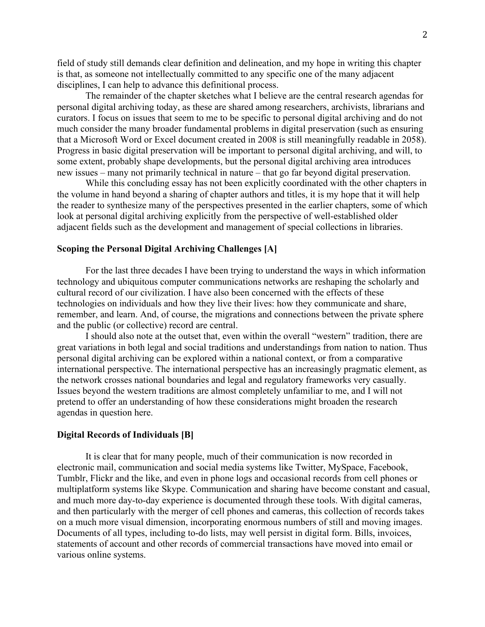field of study still demands clear definition and delineation, and my hope in writing this chapter is that, as someone not intellectually committed to any specific one of the many adjacent disciplines, I can help to advance this definitional process.

The remainder of the chapter sketches what I believe are the central research agendas for personal digital archiving today, as these are shared among researchers, archivists, librarians and curators. I focus on issues that seem to me to be specific to personal digital archiving and do not much consider the many broader fundamental problems in digital preservation (such as ensuring that a Microsoft Word or Excel document created in 2008 is still meaningfully readable in 2058). Progress in basic digital preservation will be important to personal digital archiving, and will, to some extent, probably shape developments, but the personal digital archiving area introduces new issues – many not primarily technical in nature – that go far beyond digital preservation.

While this concluding essay has not been explicitly coordinated with the other chapters in the volume in hand beyond a sharing of chapter authors and titles, it is my hope that it will help the reader to synthesize many of the perspectives presented in the earlier chapters, some of which look at personal digital archiving explicitly from the perspective of well-established older adjacent fields such as the development and management of special collections in libraries.

## **Scoping the Personal Digital Archiving Challenges [A]**

For the last three decades I have been trying to understand the ways in which information technology and ubiquitous computer communications networks are reshaping the scholarly and cultural record of our civilization. I have also been concerned with the effects of these technologies on individuals and how they live their lives: how they communicate and share, remember, and learn. And, of course, the migrations and connections between the private sphere and the public (or collective) record are central.

I should also note at the outset that, even within the overall "western" tradition, there are great variations in both legal and social traditions and understandings from nation to nation. Thus personal digital archiving can be explored within a national context, or from a comparative international perspective. The international perspective has an increasingly pragmatic element, as the network crosses national boundaries and legal and regulatory frameworks very casually. Issues beyond the western traditions are almost completely unfamiliar to me, and I will not pretend to offer an understanding of how these considerations might broaden the research agendas in question here.

#### **Digital Records of Individuals [B]**

It is clear that for many people, much of their communication is now recorded in electronic mail, communication and social media systems like Twitter, MySpace, Facebook, Tumblr, Flickr and the like, and even in phone logs and occasional records from cell phones or multiplatform systems like Skype. Communication and sharing have become constant and casual, and much more day-to-day experience is documented through these tools. With digital cameras, and then particularly with the merger of cell phones and cameras, this collection of records takes on a much more visual dimension, incorporating enormous numbers of still and moving images. Documents of all types, including to-do lists, may well persist in digital form. Bills, invoices, statements of account and other records of commercial transactions have moved into email or various online systems.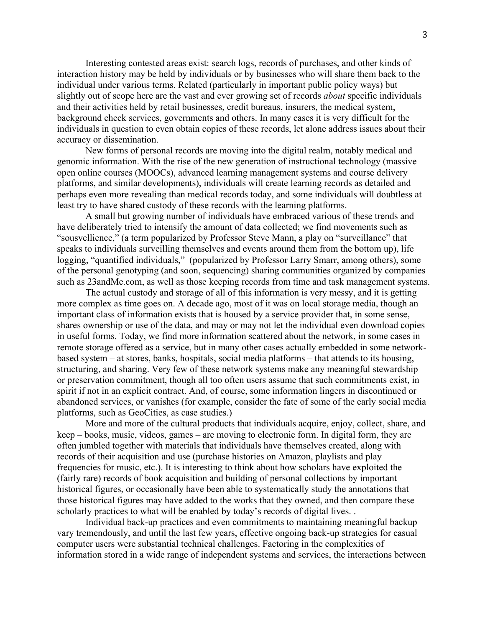Interesting contested areas exist: search logs, records of purchases, and other kinds of interaction history may be held by individuals or by businesses who will share them back to the individual under various terms. Related (particularly in important public policy ways) but slightly out of scope here are the vast and ever growing set of records *about* specific individuals and their activities held by retail businesses, credit bureaus, insurers, the medical system, background check services, governments and others. In many cases it is very difficult for the individuals in question to even obtain copies of these records, let alone address issues about their accuracy or dissemination.

New forms of personal records are moving into the digital realm, notably medical and genomic information. With the rise of the new generation of instructional technology (massive open online courses (MOOCs), advanced learning management systems and course delivery platforms, and similar developments), individuals will create learning records as detailed and perhaps even more revealing than medical records today, and some individuals will doubtless at least try to have shared custody of these records with the learning platforms.

A small but growing number of individuals have embraced various of these trends and have deliberately tried to intensify the amount of data collected; we find movements such as "sousvellience," (a term popularized by Professor Steve Mann, a play on "surveillance" that speaks to individuals surveilling themselves and events around them from the bottom up), life logging, "quantified individuals," (popularized by Professor Larry Smarr, among others), some of the personal genotyping (and soon, sequencing) sharing communities organized by companies such as 23andMe.com, as well as those keeping records from time and task management systems.

The actual custody and storage of all of this information is very messy, and it is getting more complex as time goes on. A decade ago, most of it was on local storage media, though an important class of information exists that is housed by a service provider that, in some sense, shares ownership or use of the data, and may or may not let the individual even download copies in useful forms. Today, we find more information scattered about the network, in some cases in remote storage offered as a service, but in many other cases actually embedded in some networkbased system – at stores, banks, hospitals, social media platforms – that attends to its housing, structuring, and sharing. Very few of these network systems make any meaningful stewardship or preservation commitment, though all too often users assume that such commitments exist, in spirit if not in an explicit contract. And, of course, some information lingers in discontinued or abandoned services, or vanishes (for example, consider the fate of some of the early social media platforms, such as GeoCities, as case studies.)

More and more of the cultural products that individuals acquire, enjoy, collect, share, and keep – books, music, videos, games – are moving to electronic form. In digital form, they are often jumbled together with materials that individuals have themselves created, along with records of their acquisition and use (purchase histories on Amazon, playlists and play frequencies for music, etc.). It is interesting to think about how scholars have exploited the (fairly rare) records of book acquisition and building of personal collections by important historical figures, or occasionally have been able to systematically study the annotations that those historical figures may have added to the works that they owned, and then compare these scholarly practices to what will be enabled by today's records of digital lives. .

Individual back-up practices and even commitments to maintaining meaningful backup vary tremendously, and until the last few years, effective ongoing back-up strategies for casual computer users were substantial technical challenges. Factoring in the complexities of information stored in a wide range of independent systems and services, the interactions between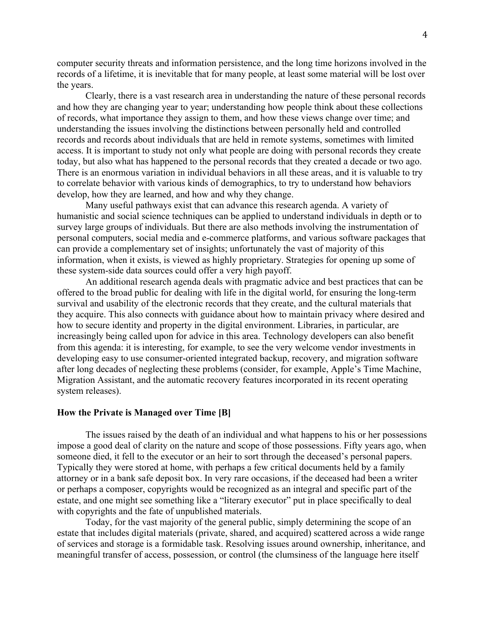computer security threats and information persistence, and the long time horizons involved in the records of a lifetime, it is inevitable that for many people, at least some material will be lost over the years.

Clearly, there is a vast research area in understanding the nature of these personal records and how they are changing year to year; understanding how people think about these collections of records, what importance they assign to them, and how these views change over time; and understanding the issues involving the distinctions between personally held and controlled records and records about individuals that are held in remote systems, sometimes with limited access. It is important to study not only what people are doing with personal records they create today, but also what has happened to the personal records that they created a decade or two ago. There is an enormous variation in individual behaviors in all these areas, and it is valuable to try to correlate behavior with various kinds of demographics, to try to understand how behaviors develop, how they are learned, and how and why they change.

Many useful pathways exist that can advance this research agenda. A variety of humanistic and social science techniques can be applied to understand individuals in depth or to survey large groups of individuals. But there are also methods involving the instrumentation of personal computers, social media and e-commerce platforms, and various software packages that can provide a complementary set of insights; unfortunately the vast of majority of this information, when it exists, is viewed as highly proprietary. Strategies for opening up some of these system-side data sources could offer a very high payoff.

An additional research agenda deals with pragmatic advice and best practices that can be offered to the broad public for dealing with life in the digital world, for ensuring the long-term survival and usability of the electronic records that they create, and the cultural materials that they acquire. This also connects with guidance about how to maintain privacy where desired and how to secure identity and property in the digital environment. Libraries, in particular, are increasingly being called upon for advice in this area. Technology developers can also benefit from this agenda: it is interesting, for example, to see the very welcome vendor investments in developing easy to use consumer-oriented integrated backup, recovery, and migration software after long decades of neglecting these problems (consider, for example, Apple's Time Machine, Migration Assistant, and the automatic recovery features incorporated in its recent operating system releases).

#### **How the Private is Managed over Time [B]**

The issues raised by the death of an individual and what happens to his or her possessions impose a good deal of clarity on the nature and scope of those possessions. Fifty years ago, when someone died, it fell to the executor or an heir to sort through the deceased's personal papers. Typically they were stored at home, with perhaps a few critical documents held by a family attorney or in a bank safe deposit box. In very rare occasions, if the deceased had been a writer or perhaps a composer, copyrights would be recognized as an integral and specific part of the estate, and one might see something like a "literary executor" put in place specifically to deal with copyrights and the fate of unpublished materials.

Today, for the vast majority of the general public, simply determining the scope of an estate that includes digital materials (private, shared, and acquired) scattered across a wide range of services and storage is a formidable task. Resolving issues around ownership, inheritance, and meaningful transfer of access, possession, or control (the clumsiness of the language here itself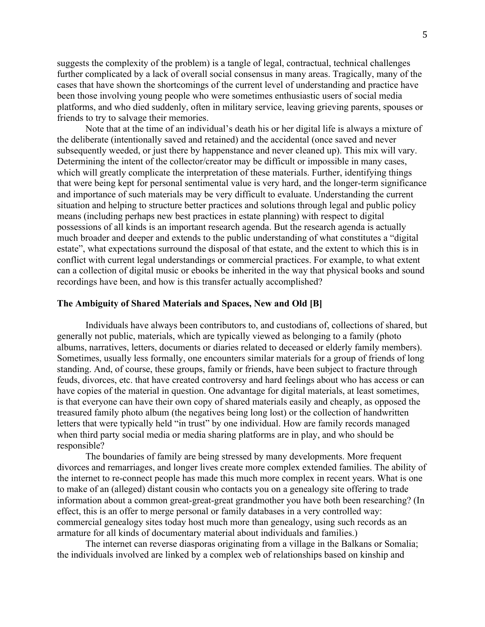suggests the complexity of the problem) is a tangle of legal, contractual, technical challenges further complicated by a lack of overall social consensus in many areas. Tragically, many of the cases that have shown the shortcomings of the current level of understanding and practice have been those involving young people who were sometimes enthusiastic users of social media platforms, and who died suddenly, often in military service, leaving grieving parents, spouses or friends to try to salvage their memories.

Note that at the time of an individual's death his or her digital life is always a mixture of the deliberate (intentionally saved and retained) and the accidental (once saved and never subsequently weeded, or just there by happenstance and never cleaned up). This mix will vary. Determining the intent of the collector/creator may be difficult or impossible in many cases, which will greatly complicate the interpretation of these materials. Further, identifying things that were being kept for personal sentimental value is very hard, and the longer-term significance and importance of such materials may be very difficult to evaluate. Understanding the current situation and helping to structure better practices and solutions through legal and public policy means (including perhaps new best practices in estate planning) with respect to digital possessions of all kinds is an important research agenda. But the research agenda is actually much broader and deeper and extends to the public understanding of what constitutes a "digital estate", what expectations surround the disposal of that estate, and the extent to which this is in conflict with current legal understandings or commercial practices. For example, to what extent can a collection of digital music or ebooks be inherited in the way that physical books and sound recordings have been, and how is this transfer actually accomplished?

## **The Ambiguity of Shared Materials and Spaces, New and Old [B]**

Individuals have always been contributors to, and custodians of, collections of shared, but generally not public, materials, which are typically viewed as belonging to a family (photo albums, narratives, letters, documents or diaries related to deceased or elderly family members). Sometimes, usually less formally, one encounters similar materials for a group of friends of long standing. And, of course, these groups, family or friends, have been subject to fracture through feuds, divorces, etc. that have created controversy and hard feelings about who has access or can have copies of the material in question. One advantage for digital materials, at least sometimes, is that everyone can have their own copy of shared materials easily and cheaply, as opposed the treasured family photo album (the negatives being long lost) or the collection of handwritten letters that were typically held "in trust" by one individual. How are family records managed when third party social media or media sharing platforms are in play, and who should be responsible?

The boundaries of family are being stressed by many developments. More frequent divorces and remarriages, and longer lives create more complex extended families. The ability of the internet to re-connect people has made this much more complex in recent years. What is one to make of an (alleged) distant cousin who contacts you on a genealogy site offering to trade information about a common great-great-great grandmother you have both been researching? (In effect, this is an offer to merge personal or family databases in a very controlled way: commercial genealogy sites today host much more than genealogy, using such records as an armature for all kinds of documentary material about individuals and families.)

The internet can reverse diasporas originating from a village in the Balkans or Somalia; the individuals involved are linked by a complex web of relationships based on kinship and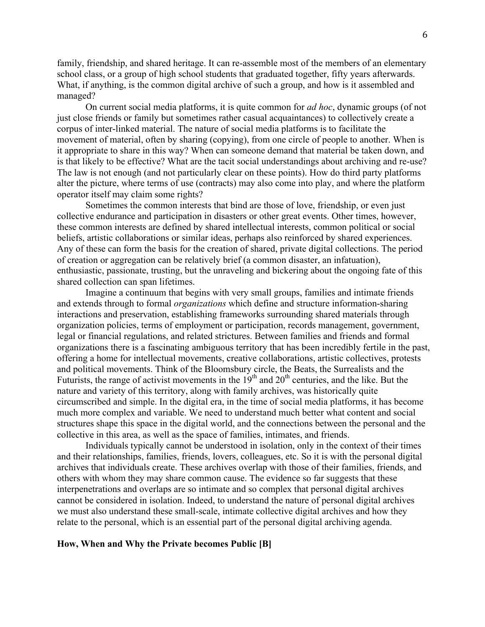family, friendship, and shared heritage. It can re-assemble most of the members of an elementary school class, or a group of high school students that graduated together, fifty years afterwards. What, if anything, is the common digital archive of such a group, and how is it assembled and managed?

On current social media platforms, it is quite common for *ad hoc*, dynamic groups (of not just close friends or family but sometimes rather casual acquaintances) to collectively create a corpus of inter-linked material. The nature of social media platforms is to facilitate the movement of material, often by sharing (copying), from one circle of people to another. When is it appropriate to share in this way? When can someone demand that material be taken down, and is that likely to be effective? What are the tacit social understandings about archiving and re-use? The law is not enough (and not particularly clear on these points). How do third party platforms alter the picture, where terms of use (contracts) may also come into play, and where the platform operator itself may claim some rights?

Sometimes the common interests that bind are those of love, friendship, or even just collective endurance and participation in disasters or other great events. Other times, however, these common interests are defined by shared intellectual interests, common political or social beliefs, artistic collaborations or similar ideas, perhaps also reinforced by shared experiences. Any of these can form the basis for the creation of shared, private digital collections. The period of creation or aggregation can be relatively brief (a common disaster, an infatuation), enthusiastic, passionate, trusting, but the unraveling and bickering about the ongoing fate of this shared collection can span lifetimes.

Imagine a continuum that begins with very small groups, families and intimate friends and extends through to formal *organizations* which define and structure information-sharing interactions and preservation, establishing frameworks surrounding shared materials through organization policies, terms of employment or participation, records management, government, legal or financial regulations, and related strictures. Between families and friends and formal organizations there is a fascinating ambiguous territory that has been incredibly fertile in the past, offering a home for intellectual movements, creative collaborations, artistic collectives, protests and political movements. Think of the Bloomsbury circle, the Beats, the Surrealists and the Futurists, the range of activist movements in the  $19<sup>th</sup>$  and  $20<sup>th</sup>$  centuries, and the like. But the nature and variety of this territory, along with family archives, was historically quite circumscribed and simple. In the digital era, in the time of social media platforms, it has become much more complex and variable. We need to understand much better what content and social structures shape this space in the digital world, and the connections between the personal and the collective in this area, as well as the space of families, intimates, and friends.

Individuals typically cannot be understood in isolation, only in the context of their times and their relationships, families, friends, lovers, colleagues, etc. So it is with the personal digital archives that individuals create. These archives overlap with those of their families, friends, and others with whom they may share common cause. The evidence so far suggests that these interpenetrations and overlaps are so intimate and so complex that personal digital archives cannot be considered in isolation. Indeed, to understand the nature of personal digital archives we must also understand these small-scale, intimate collective digital archives and how they relate to the personal, which is an essential part of the personal digital archiving agenda.

### **How, When and Why the Private becomes Public [B]**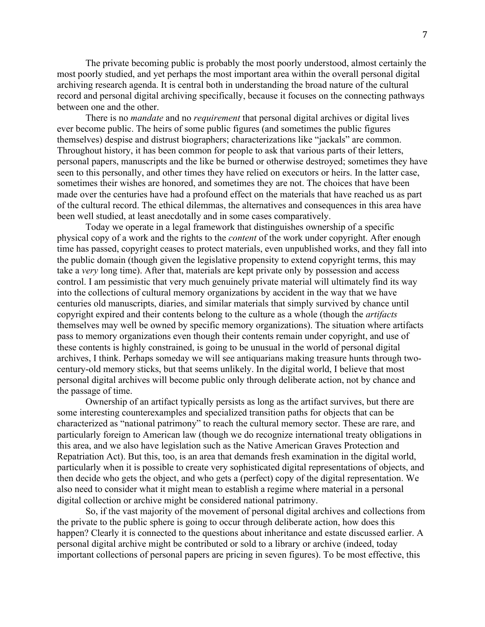The private becoming public is probably the most poorly understood, almost certainly the most poorly studied, and yet perhaps the most important area within the overall personal digital archiving research agenda. It is central both in understanding the broad nature of the cultural record and personal digital archiving specifically, because it focuses on the connecting pathways between one and the other.

There is no *mandate* and no *requirement* that personal digital archives or digital lives ever become public. The heirs of some public figures (and sometimes the public figures themselves) despise and distrust biographers; characterizations like "jackals" are common. Throughout history, it has been common for people to ask that various parts of their letters, personal papers, manuscripts and the like be burned or otherwise destroyed; sometimes they have seen to this personally, and other times they have relied on executors or heirs. In the latter case, sometimes their wishes are honored, and sometimes they are not. The choices that have been made over the centuries have had a profound effect on the materials that have reached us as part of the cultural record. The ethical dilemmas, the alternatives and consequences in this area have been well studied, at least anecdotally and in some cases comparatively.

Today we operate in a legal framework that distinguishes ownership of a specific physical copy of a work and the rights to the *content* of the work under copyright. After enough time has passed, copyright ceases to protect materials, even unpublished works, and they fall into the public domain (though given the legislative propensity to extend copyright terms, this may take a *very* long time). After that, materials are kept private only by possession and access control. I am pessimistic that very much genuinely private material will ultimately find its way into the collections of cultural memory organizations by accident in the way that we have centuries old manuscripts, diaries, and similar materials that simply survived by chance until copyright expired and their contents belong to the culture as a whole (though the *artifacts* themselves may well be owned by specific memory organizations). The situation where artifacts pass to memory organizations even though their contents remain under copyright, and use of these contents is highly constrained, is going to be unusual in the world of personal digital archives, I think. Perhaps someday we will see antiquarians making treasure hunts through twocentury-old memory sticks, but that seems unlikely. In the digital world, I believe that most personal digital archives will become public only through deliberate action, not by chance and the passage of time.

Ownership of an artifact typically persists as long as the artifact survives, but there are some interesting counterexamples and specialized transition paths for objects that can be characterized as "national patrimony" to reach the cultural memory sector. These are rare, and particularly foreign to American law (though we do recognize international treaty obligations in this area, and we also have legislation such as the Native American Graves Protection and Repatriation Act). But this, too, is an area that demands fresh examination in the digital world, particularly when it is possible to create very sophisticated digital representations of objects, and then decide who gets the object, and who gets a (perfect) copy of the digital representation. We also need to consider what it might mean to establish a regime where material in a personal digital collection or archive might be considered national patrimony.

So, if the vast majority of the movement of personal digital archives and collections from the private to the public sphere is going to occur through deliberate action, how does this happen? Clearly it is connected to the questions about inheritance and estate discussed earlier. A personal digital archive might be contributed or sold to a library or archive (indeed, today important collections of personal papers are pricing in seven figures). To be most effective, this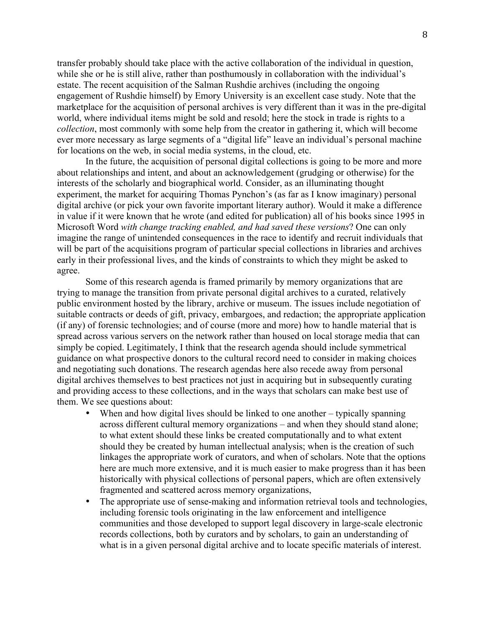transfer probably should take place with the active collaboration of the individual in question, while she or he is still alive, rather than posthumously in collaboration with the individual's estate. The recent acquisition of the Salman Rushdie archives (including the ongoing engagement of Rushdie himself) by Emory University is an excellent case study. Note that the marketplace for the acquisition of personal archives is very different than it was in the pre-digital world, where individual items might be sold and resold; here the stock in trade is rights to a *collection*, most commonly with some help from the creator in gathering it, which will become ever more necessary as large segments of a "digital life" leave an individual's personal machine for locations on the web, in social media systems, in the cloud, etc.

In the future, the acquisition of personal digital collections is going to be more and more about relationships and intent, and about an acknowledgement (grudging or otherwise) for the interests of the scholarly and biographical world. Consider, as an illuminating thought experiment, the market for acquiring Thomas Pynchon's (as far as I know imaginary) personal digital archive (or pick your own favorite important literary author). Would it make a difference in value if it were known that he wrote (and edited for publication) all of his books since 1995 in Microsoft Word *with change tracking enabled, and had saved these versions*? One can only imagine the range of unintended consequences in the race to identify and recruit individuals that will be part of the acquisitions program of particular special collections in libraries and archives early in their professional lives, and the kinds of constraints to which they might be asked to agree.

Some of this research agenda is framed primarily by memory organizations that are trying to manage the transition from private personal digital archives to a curated, relatively public environment hosted by the library, archive or museum. The issues include negotiation of suitable contracts or deeds of gift, privacy, embargoes, and redaction; the appropriate application (if any) of forensic technologies; and of course (more and more) how to handle material that is spread across various servers on the network rather than housed on local storage media that can simply be copied. Legitimately, I think that the research agenda should include symmetrical guidance on what prospective donors to the cultural record need to consider in making choices and negotiating such donations. The research agendas here also recede away from personal digital archives themselves to best practices not just in acquiring but in subsequently curating and providing access to these collections, and in the ways that scholars can make best use of them. We see questions about:

- When and how digital lives should be linked to one another typically spanning across different cultural memory organizations – and when they should stand alone; to what extent should these links be created computationally and to what extent should they be created by human intellectual analysis; when is the creation of such linkages the appropriate work of curators, and when of scholars. Note that the options here are much more extensive, and it is much easier to make progress than it has been historically with physical collections of personal papers, which are often extensively fragmented and scattered across memory organizations,
- The appropriate use of sense-making and information retrieval tools and technologies, including forensic tools originating in the law enforcement and intelligence communities and those developed to support legal discovery in large-scale electronic records collections, both by curators and by scholars, to gain an understanding of what is in a given personal digital archive and to locate specific materials of interest.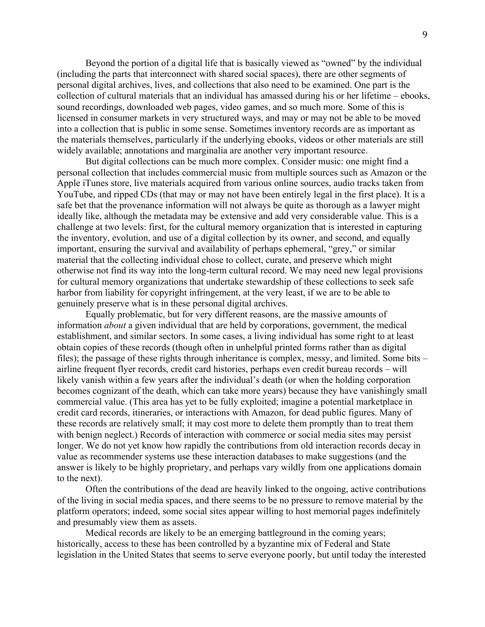Beyond the portion of a digital life that is basically viewed as "owned" by the individual (including the parts that interconnect with shared social spaces), there are other segments of personal digital archives, lives, and collections that also need to be examined. One part is the collection of cultural materials that an individual has amassed during his or her lifetime – ebooks, sound recordings, downloaded web pages, video games, and so much more. Some of this is licensed in consumer markets in very structured ways, and may or may not be able to be moved into a collection that is public in some sense. Sometimes inventory records are as important as the materials themselves, particularly if the underlying ebooks, videos or other materials are still widely available; annotations and marginalia are another very important resource.

But digital collections can be much more complex. Consider music: one might find a personal collection that includes commercial music from multiple sources such as Amazon or the Apple iTunes store, live materials acquired from various online sources, audio tracks taken from YouTube, and ripped CDs (that may or may not have been entirely legal in the first place). It is a safe bet that the provenance information will not always be quite as thorough as a lawyer might ideally like, although the metadata may be extensive and add very considerable value. This is a challenge at two levels: first, for the cultural memory organization that is interested in capturing the inventory, evolution, and use of a digital collection by its owner, and second, and equally important, ensuring the survival and availability of perhaps ephemeral, "grey," or similar material that the collecting individual chose to collect, curate, and preserve which might otherwise not find its way into the long-term cultural record. We may need new legal provisions for cultural memory organizations that undertake stewardship of these collections to seek safe harbor from liability for copyright infringement, at the very least, if we are to be able to genuinely preserve what is in these personal digital archives.

Equally problematic, but for very different reasons, are the massive amounts of information *about* a given individual that are held by corporations, government, the medical establishment, and similar sectors. In some cases, a living individual has some right to at least obtain copies of these records (though often in unhelpful printed forms rather than as digital files); the passage of these rights through inheritance is complex, messy, and limited. Some bits – airline frequent flyer records, credit card histories, perhaps even credit bureau records – will likely vanish within a few years after the individual's death (or when the holding corporation becomes cognizant of the death, which can take more years) because they have vanishingly small commercial value. (This area has yet to be fully exploited; imagine a potential marketplace in credit card records, itineraries, or interactions with Amazon, for dead public figures. Many of these records are relatively small; it may cost more to delete them promptly than to treat them with benign neglect.) Records of interaction with commerce or social media sites may persist longer. We do not yet know how rapidly the contributions from old interaction records decay in value as recommender systems use these interaction databases to make suggestions (and the answer is likely to be highly proprietary, and perhaps vary wildly from one applications domain to the next).

Often the contributions of the dead are heavily linked to the ongoing, active contributions of the living in social media spaces, and there seems to be no pressure to remove material by the platform operators; indeed, some social sites appear willing to host memorial pages indefinitely and presumably view them as assets.

Medical records are likely to be an emerging battleground in the coming years; historically, access to these has been controlled by a byzantine mix of Federal and State legislation in the United States that seems to serve everyone poorly, but until today the interested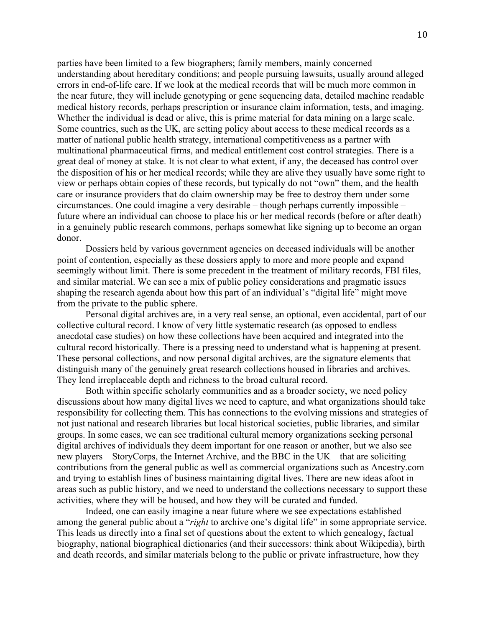parties have been limited to a few biographers; family members, mainly concerned understanding about hereditary conditions; and people pursuing lawsuits, usually around alleged errors in end-of-life care. If we look at the medical records that will be much more common in the near future, they will include genotyping or gene sequencing data, detailed machine readable medical history records, perhaps prescription or insurance claim information, tests, and imaging. Whether the individual is dead or alive, this is prime material for data mining on a large scale. Some countries, such as the UK, are setting policy about access to these medical records as a matter of national public health strategy, international competitiveness as a partner with multinational pharmaceutical firms, and medical entitlement cost control strategies. There is a great deal of money at stake. It is not clear to what extent, if any, the deceased has control over the disposition of his or her medical records; while they are alive they usually have some right to view or perhaps obtain copies of these records, but typically do not "own" them, and the health care or insurance providers that do claim ownership may be free to destroy them under some circumstances. One could imagine a very desirable – though perhaps currently impossible – future where an individual can choose to place his or her medical records (before or after death) in a genuinely public research commons, perhaps somewhat like signing up to become an organ donor.

Dossiers held by various government agencies on deceased individuals will be another point of contention, especially as these dossiers apply to more and more people and expand seemingly without limit. There is some precedent in the treatment of military records, FBI files, and similar material. We can see a mix of public policy considerations and pragmatic issues shaping the research agenda about how this part of an individual's "digital life" might move from the private to the public sphere.

Personal digital archives are, in a very real sense, an optional, even accidental, part of our collective cultural record. I know of very little systematic research (as opposed to endless anecdotal case studies) on how these collections have been acquired and integrated into the cultural record historically. There is a pressing need to understand what is happening at present. These personal collections, and now personal digital archives, are the signature elements that distinguish many of the genuinely great research collections housed in libraries and archives. They lend irreplaceable depth and richness to the broad cultural record.

Both within specific scholarly communities and as a broader society, we need policy discussions about how many digital lives we need to capture, and what organizations should take responsibility for collecting them. This has connections to the evolving missions and strategies of not just national and research libraries but local historical societies, public libraries, and similar groups. In some cases, we can see traditional cultural memory organizations seeking personal digital archives of individuals they deem important for one reason or another, but we also see new players – StoryCorps, the Internet Archive, and the BBC in the UK – that are soliciting contributions from the general public as well as commercial organizations such as Ancestry.com and trying to establish lines of business maintaining digital lives. There are new ideas afoot in areas such as public history, and we need to understand the collections necessary to support these activities, where they will be housed, and how they will be curated and funded.

Indeed, one can easily imagine a near future where we see expectations established among the general public about a "*right* to archive one's digital life" in some appropriate service. This leads us directly into a final set of questions about the extent to which genealogy, factual biography, national biographical dictionaries (and their successors: think about Wikipedia), birth and death records, and similar materials belong to the public or private infrastructure, how they